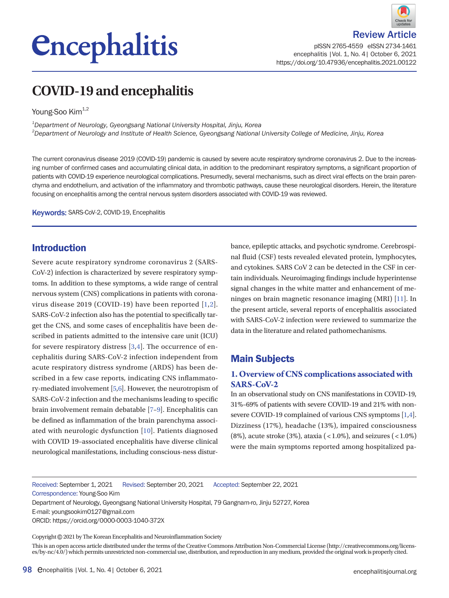# *<u>Encephalitis</u>*



pISSN 2765-4559 eISSN 2734-1461 encephalitis |Vol. 1, No. 4| October 6, 2021 https://doi.org/10.47936/encephalitis.2021.00122

# **COVID-19 and encephalitis**

Young-Soo Kim<sup>1,2</sup>

*1 Department of Neurology, Gyeongsang National University Hospital, Jinju, Korea 2 Department of Neurology and Institute of Health Science, Gyeongsang National University College of Medicine, Jinju, Korea*

The current coronavirus disease 2019 (COVID-19) pandemic is caused by severe acute respiratory syndrome coronavirus 2. Due to the increasing number of confirmed cases and accumulating clinical data, in addition to the predominant respiratory symptoms, a significant proportion of patients with COVID-19 experience neurological complications. Presumedly, several mechanisms, such as direct viral effects on the brain parenchyma and endothelium, and activation of the inflammatory and thrombotic pathways, cause these neurological disorders. Herein, the literature focusing on encephalitis among the central nervous system disorders associated with COVID-19 was reviewed.

Keywords: SARS-CoV-2, COVID-19, Encephalitis

# Introduction

Severe acute respiratory syndrome coronavirus 2 (SARS-CoV-2) infection is characterized by severe respiratory symptoms. In addition to these symptoms, a wide range of central nervous system (CNS) complications in patients with coronavirus disease 2019 (COVID-19) have been reported [\[1](#page-3-0)[,2\]](#page-3-1). SARS-CoV-2 infection also has the potential to specifically target the CNS, and some cases of encephalitis have been described in patients admitted to the intensive care unit (ICU) for severe respiratory distress [\[3](#page-3-2)[,4](#page-3-3)]. The occurrence of encephalitis during SARS-CoV-2 infection independent from acute respiratory distress syndrome (ARDS) has been described in a few case reports, indicating CNS inflammatory-mediated involvement [\[5](#page-3-4),[6\]](#page-3-1). However, the neurotropism of SARS-CoV-2 infection and the mechanisms leading to specific brain involvement remain debatable [\[7](#page-3-5)[–9\]](#page-3-4). Encephalitis can be defined as inflammation of the brain parenchyma associated with neurologic dysfunction [\[10\]](#page-3-6). Patients diagnosed with COVID 19–associated encephalitis have diverse clinical neurological manifestations, including conscious-ness disturbance, epileptic attacks, and psychotic syndrome. Cerebrospinal fluid (CSF) tests revealed elevated protein, lymphocytes, and cytokines. SARS CoV 2 can be detected in the CSF in certain individuals. Neuroimaging findings include hyperintense signal changes in the white matter and enhancement of meninges on brain magnetic resonance imaging (MRI) [\[11\]](#page-3-5). In the present article, several reports of encephalitis associated with SARS-CoV-2 infection were reviewed to summarize the data in the literature and related pathomechanisms.

# Main Subjects

### **1. Overview of CNS complications associated with SARS-CoV-2**

In an observational study on CNS manifestations in COVID-19, 31%–69% of patients with severe COVID-19 and 21% with nonsevere COVID-19 complained of various CNS symptoms [\[1](#page-3-0)[,4](#page-3-3)]. Dizziness (17%), headache (13%), impaired consciousness  $(8\%)$ , acute stroke  $(3\%)$ , ataxia  $($  < 1.0%), and seizures  $($  < 1.0%) were the main symptoms reported among hospitalized pa-

Received: September 1, 2021 Revised: September 20, 2021 Accepted: September 22, 2021 Correspondence: Young-Soo Kim

Department of Neurology, Gyeongsang National University Hospital, 79 Gangnam-ro, Jinju 52727, Korea E-mail: youngsookim0127@gmail.com

Copyright©2021 by The Korean Encephalitis and Neuroinflammation Society

This is an open access article distributed under the terms of the Creative Commons Attribution Non-Commercial License (http://creativecommons.org/licenses/by-nc/4.0/) which permits unrestricted non-commercial use, distribution, and reproduction in any medium, provided the original work is properly cited.

ORCID: https://orcid.org/0000-0003-1040-372X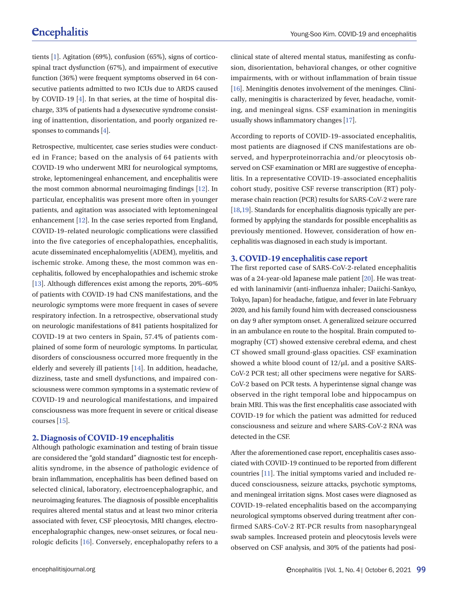tients [1]. Agitation (69%), confusion (65%), signs of corticospinal tract dysfunction (67%), and impairment of executive function (36%) were frequent symptoms observed in 64 consecutive patients admitted to two ICUs due to ARDS caused by COVID-19 [4]. In that series, at the time of hospital discharge, 33% of patients had a dysexecutive syndrome consisting of inattention, disorientation, and poorly organized responses to commands [4].

Retrospective, multicenter, case series studies were conducted in France; based on the analysis of 64 patients with COVID-19 who underwent MRI for neurological symptoms, stroke, leptomeningeal enhancement, and encephalitis were the most common abnormal neuroimaging findings [[12](#page-3-7)]. In particular, encephalitis was present more often in younger patients, and agitation was associated with leptomeningeal enhancement [\[12](#page-3-7)]. In the case series reported from England, COVID-19–related neurologic complications were classified into the five categories of encephalopathies, encephalitis, acute disseminated encephalomyelitis (ADEM), myelitis, and ischemic stroke. Among these, the most common was encephalitis, followed by encephalopathies and ischemic stroke [\[13\]](#page-4-0). Although differences exist among the reports, 20%–60% of patients with COVID-19 had CNS manifestations, and the neurologic symptoms were more frequent in cases of severe respiratory infection. In a retrospective, observational study on neurologic manifestations of 841 patients hospitalized for COVID-19 at two centers in Spain, 57.4% of patients complained of some form of neurologic symptoms. In particular, disorders of consciousness occurred more frequently in the elderly and severely ill patients [\[14](#page-4-1)]. In addition, headache, dizziness, taste and smell dysfunctions, and impaired consciousness were common symptoms in a systematic review of COVID-19 and neurological manifestations, and impaired consciousness was more frequent in severe or critical disease courses [\[15](#page-4-2)].

#### **2. Diagnosis of COVID-19 encephalitis**

Although pathologic examination and testing of brain tissue are considered the "gold standard" diagnostic test for encephalitis syndrome, in the absence of pathologic evidence of brain inflammation, encephalitis has been defined based on selected clinical, laboratory, electroencephalographic, and neuroimaging features. The diagnosis of possible encephalitis requires altered mental status and at least two minor criteria associated with fever, CSF pleocytosis, MRI changes, electroencephalographic changes, new-onset seizures, or focal neurologic deficits [\[16](#page-4-3)]. Conversely, encephalopathy refers to a clinical state of altered mental status, manifesting as confusion, disorientation, behavioral changes, or other cognitive impairments, with or without inflammation of brain tissue [\[16\]](#page-4-3). Meningitis denotes involvement of the meninges. Clinically, meningitis is characterized by fever, headache, vomiting, and meningeal signs. CSF examination in meningitis usually shows inflammatory changes [\[17\]](#page-4-4).

According to reports of COVID-19–associated encephalitis, most patients are diagnosed if CNS manifestations are observed, and hyperproteinorrachia and/or pleocytosis observed on CSF examination or MRI are suggestive of encephalitis. In a representative COVID-19–associated encephalitis cohort study, positive CSF reverse transcription (RT) polymerase chain reaction (PCR) results for SARS-CoV-2 were rare [\[18](#page-4-1)[,19](#page-4-2)]. Standards for encephalitis diagnosis typically are performed by applying the standards for possible encephalitis as previously mentioned. However, consideration of how encephalitis was diagnosed in each study is important.

#### **3. COVID-19 encephalitis case report**

The first reported case of SARS-CoV-2-related encephalitis was of a 24-year-old Japanese male patient [\[20](#page-4-5)]. He was treated with laninamivir (anti-influenza inhaler; Daiichi-Sankyo, Tokyo, Japan) for headache, fatigue, and fever in late February 2020, and his family found him with decreased consciousness on day 9 after symptom onset. A generalized seizure occurred in an ambulance en route to the hospital. Brain computed tomography (CT) showed extensive cerebral edema, and chest CT showed small ground-glass opacities. CSF examination showed a white blood count of 12/μL and a positive SARS-CoV-2 PCR test; all other specimens were negative for SARS-CoV-2 based on PCR tests. A hyperintense signal change was observed in the right temporal lobe and hippocampus on brain MRI. This was the first encephalitis case associated with COVID-19 for which the patient was admitted for reduced consciousness and seizure and where SARS-CoV-2 RNA was detected in the CSF.

After the aforementioned case report, encephalitis cases associated with COVID-19 continued to be reported from different countries [11]. The initial symptoms varied and included reduced consciousness, seizure attacks, psychotic symptoms, and meningeal irritation signs. Most cases were diagnosed as COVID-19–related encephalitis based on the accompanying neurological symptoms observed during treatment after confirmed SARS-CoV-2 RT-PCR results from nasopharyngeal swab samples. Increased protein and pleocytosis levels were observed on CSF analysis, and 30% of the patients had posi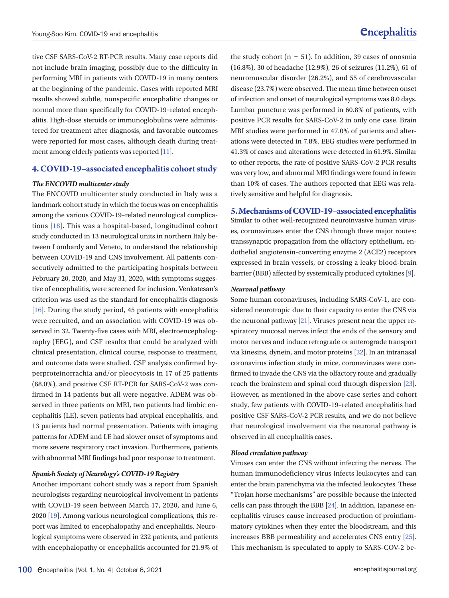tive CSF SARS-CoV-2 RT-PCR results. Many case reports did not include brain imaging, possibly due to the difficulty in performing MRI in patients with COVID-19 in many centers at the beginning of the pandemic. Cases with reported MRI results showed subtle, nonspecific encephalitic changes or normal more than specifically for COVID-19–related encephalitis. High-dose steroids or immunoglobulins were administered for treatment after diagnosis, and favorable outcomes were reported for most cases, although death during treatment among elderly patients was reported [11].

#### **4. COVID-19–associated encephalitis cohort study**

#### *The ENCOVID multicenter study*

The ENCOVID multicenter study conducted in Italy was a landmark cohort study in which the focus was on encephalitis among the various COVID-19–related neurological complications [18]. This was a hospital-based, longitudinal cohort study conducted in 13 neurological units in northern Italy between Lombardy and Veneto, to understand the relationship between COVID-19 and CNS involvement. All patients consecutively admitted to the participating hospitals between February 20, 2020, and May 31, 2020, with symptoms suggestive of encephalitis, were screened for inclusion. Venkatesan's criterion was used as the standard for encephalitis diagnosis [16]. During the study period, 45 patients with encephalitis were recruited, and an association with COVID-19 was observed in 32. Twenty-five cases with MRI, electroencephalography (EEG), and CSF results that could be analyzed with clinical presentation, clinical course, response to treatment, and outcome data were studied. CSF analysis confirmed hyperproteinorrachia and/or pleocytosis in 17 of 25 patients (68.0%), and positive CSF RT-PCR for SARS-CoV-2 was confirmed in 14 patients but all were negative. ADEM was observed in three patients on MRI, two patients had limbic encephalitis (LE), seven patients had atypical encephalitis, and 13 patients had normal presentation. Patients with imaging patterns for ADEM and LE had slower onset of symptoms and more severe respiratory tract invasion. Furthermore, patients with abnormal MRI findings had poor response to treatment.

#### *Spanish Society of Neurology's COVID-19 Registry*

Another important cohort study was a report from Spanish neurologists regarding neurological involvement in patients with COVID-19 seen between March 17, 2020, and June 6, 2020 [19]. Among various neurological complications, this report was limited to encephalopathy and encephalitis. Neurological symptoms were observed in 232 patients, and patients with encephalopathy or encephalitis accounted for 21.9% of the study cohort  $(n = 51)$ . In addition, 39 cases of anosmia (16.8%), 30 of headache (12.9%), 26 of seizures (11.2%), 61 of neuromuscular disorder (26.2%), and 55 of cerebrovascular disease (23.7%) were observed. The mean time between onset of infection and onset of neurological symptoms was 8.0 days. Lumbar puncture was performed in 60.8% of patients, with positive PCR results for SARS-CoV-2 in only one case. Brain MRI studies were performed in 47.0% of patients and alterations were detected in 7.8%. EEG studies were performed in 41.3% of cases and alterations were detected in 61.9%. Similar to other reports, the rate of positive SARS-CoV-2 PCR results was very low, and abnormal MRI findings were found in fewer than 10% of cases. The authors reported that EEG was relatively sensitive and helpful for diagnosis.

#### **5. Mechanisms of COVID-19–associated encephalitis**

Similar to other well-recognized neuroinvasive human viruses, coronaviruses enter the CNS through three major routes: transsynaptic propagation from the olfactory epithelium, endothelial angiotensin-converting enzyme 2 (ACE2) receptors expressed in brain vessels, or crossing a leaky blood-brain barrier (BBB) affected by systemically produced cytokines [9].

#### *Neuronal pathway*

Some human coronaviruses, including SARS-CoV-1, are considered neurotropic due to their capacity to enter the CNS via the neuronal pathway [\[21](#page-4-6)]. Viruses present near the upper respiratory mucosal nerves infect the ends of the sensory and motor nerves and induce retrograde or anterograde transport via kinesins, dynein, and motor proteins [\[22](#page-4-7)]. In an intranasal coronavirus infection study in mice, coronaviruses were confirmed to invade the CNS via the olfactory route and gradually reach the brainstem and spinal cord through dispersion [\[23](#page-4-8)]. However, as mentioned in the above case series and cohort study, few patients with COVID-19–related encephalitis had positive CSF SARS-CoV-2 PCR results, and we do not believe that neurological involvement via the neuronal pathway is observed in all encephalitis cases.

#### *Blood circulation pathway*

Viruses can enter the CNS without infecting the nerves. The human immunodeficiency virus infects leukocytes and can enter the brain parenchyma via the infected leukocytes. These "Trojan horse mechanisms" are possible because the infected cells can pass through the BBB [\[24](#page-4-9)]. In addition, Japanese encephalitis viruses cause increased production of proinflammatory cytokines when they enter the bloodstream, and this increases BBB permeability and accelerates CNS entry [\[25](#page-4-10)]. This mechanism is speculated to apply to SARS-COV-2 be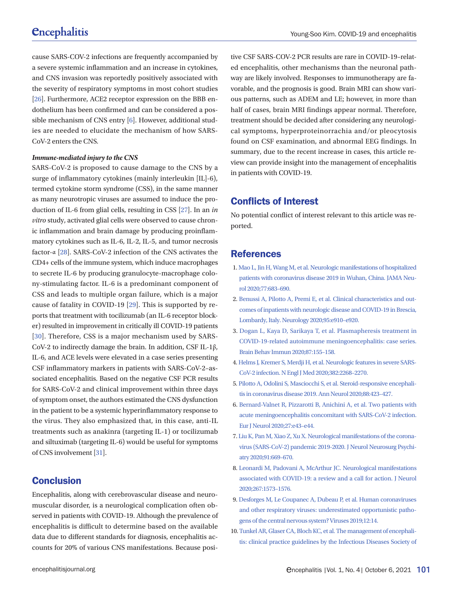cause SARS-COV-2 infections are frequently accompanied by a severe systemic inflammation and an increase in cytokines, and CNS invasion was reportedly positively associated with the severity of respiratory symptoms in most cohort studies [\[26\]](#page-4-11). Furthermore, ACE2 receptor expression on the BBB endothelium has been confirmed and can be considered a possible mechanism of CNS entry [6]. However, additional studies are needed to elucidate the mechanism of how SARS-CoV-2 enters the CNS.

#### *Immune-mediated injury to the CNS*

SARS-CoV-2 is proposed to cause damage to the CNS by a surge of inflammatory cytokines (mainly interleukin [IL]-6), termed cytokine storm syndrome (CSS), in the same manner as many neurotropic viruses are assumed to induce the production of IL-6 from glial cells, resulting in CSS [\[27](#page-4-12)]. In an *in vitro* study, activated glial cells were observed to cause chronic inflammation and brain damage by producing proinflammatory cytokines such as IL-6, IL-2, IL-5, and tumor necrosis factor-α [[28](#page-4-13)]. SARS-CoV-2 infection of the CNS activates the CD4+ cells of the immune system, which induce macrophages to secrete IL-6 by producing granulocyte-macrophage colony-stimulating factor. IL-6 is a predominant component of CSS and leads to multiple organ failure, which is a major cause of fatality in COVID-19 [\[29\]](#page-4-14). This is supported by reports that treatment with tocilizumab (an IL-6 receptor blocker) resulted in improvement in critically ill COVID-19 patients [[30\]](#page-4-15). Therefore, CSS is a major mechanism used by SARS-CoV-2 to indirectly damage the brain. In addition, CSF IL-1β, IL-6, and ACE levels were elevated in a case series presenting CSF inflammatory markers in patients with SARS-CoV-2–associated encephalitis. Based on the negative CSF PCR results for SARS-CoV-2 and clinical improvement within three days of symptom onset, the authors estimated the CNS dysfunction in the patient to be a systemic hyperinflammatory response to the virus. They also emphasized that, in this case, anti-IL treatments such as anakinra (targeting IL-1) or tocilizumab and siltuximab (targeting IL-6) would be useful for symptoms of CNS involvement [\[31](#page-4-16)].

# **Conclusion**

Encephalitis, along with cerebrovascular disease and neuromuscular disorder, is a neurological complication often observed in patients with COVID-19. Although the prevalence of encephalitis is difficult to determine based on the available data due to different standards for diagnosis, encephalitis accounts for 20% of various CNS manifestations. Because positive CSF SARS-COV-2 PCR results are rare in COVID-19–related encephalitis, other mechanisms than the neuronal pathway are likely involved. Responses to immunotherapy are favorable, and the prognosis is good. Brain MRI can show various patterns, such as ADEM and LE; however, in more than half of cases, brain MRI findings appear normal. Therefore, treatment should be decided after considering any neurological symptoms, hyperproteinorrachia and/or pleocytosis found on CSF examination, and abnormal EEG findings. In summary, due to the recent increase in cases, this article review can provide insight into the management of encephalitis in patients with COVID-19.

# Conflicts of Interest

No potential conflict of interest relevant to this article was reported.

# <span id="page-3-3"></span>**References**

- <span id="page-3-0"></span>1. Mao L, Jin H, [Wang M, et al. Neurologic manifestations of hospitalized](https://doi.org/10.1001/jamaneurol.2020.1127)  [patients with coronavirus disease 2019 in Wuhan, China. JAMA Neu](https://doi.org/10.1001/jamaneurol.2020.1127)[rol 2020;77:683–690.](https://doi.org/10.1001/jamaneurol.2020.1127)
- <span id="page-3-1"></span>2. Benussi A, Pilotto A, P[remi E, et al. Clinical characteristics and out](https://doi.org/10.1212/wnl.0000000000009848)[comes of inpatients with neurologic disease and COVID-19 in Brescia,](https://doi.org/10.1212/wnl.0000000000009848)  [Lombardy, Italy. Neurology 2020;95:e910–e920.](https://doi.org/10.1212/wnl.0000000000009848)
- <span id="page-3-2"></span>[3. Dogan L, Kaya D, Sarikaya T, et al. Plasmapheresis treatment in](https://doi.org/10.1016/j.bbi.2020.05.022)  [COVID-19-related autoimmune meningoencephalitis: case series.](https://doi.org/10.1016/j.bbi.2020.05.022)  [Brain Behav Immun 2020;87:155–158](https://doi.org/10.1016/j.bbi.2020.05.022).
- 4. [Helms J, Kremer S, Merdji H, et al. Neurologic features in severe SARS-](https://doi.org/10.1056/nejmc2008597)[CoV-2 infection. N Engl J Med 2020;382:2268–2270.](https://doi.org/10.1056/nejmc2008597)
- <span id="page-3-4"></span>5. Pilotto A, Odolini S, Masciocchi S, et al. Ste[roid-responsive encephali](https://doi.org/10.1002/ana.25783)[tis in coronavirus disease 2019. Ann Neurol 2020;88:423–427.](https://doi.org/10.1002/ana.25783)
- 6. [Bernard-Valnet R, Pizzarotti B, Anichini A, et al. Two patients with](https://doi.org/10.1111/ene.14298)  [acute meningoencephalitis concomitant with SARS-CoV-2 infection.](https://doi.org/10.1111/ene.14298)  [Eur J Neurol 2020;27:e43–e44.](https://doi.org/10.1111/ene.14298)
- <span id="page-3-5"></span>7. Liu K, Pan M, Xiao Z, Xu X. Neurological manifestations of the co[rona](https://doi.org/10.1136/jnnp-2020-323177)[virus \(SARS-CoV-2\) pandemic 2019-2020. J Neurol Neurosurg Psychi](https://doi.org/10.1136/jnnp-2020-323177)[atry 2020;91:669–670.](https://doi.org/10.1136/jnnp-2020-323177)
- <span id="page-3-7"></span>[8. Leonardi M, Padovani A, McArthur JC. Neurological manifestations](https://doi.org/10.1007/s00415-020-09896-z)  [associated with COVID-19: a review and a call for action. J Neurol](https://doi.org/10.1007/s00415-020-09896-z)  [2020;267:1573–1576.](https://doi.org/10.1007/s00415-020-09896-z)
- 9. [Desforges M, Le Coupanec A, Dubeau P, et al. Human coronaviruses](https://doi.org/10.3390/v12010014)  [and other respiratory viruses: underestimated opportunistic patho](https://doi.org/10.3390/v12010014)[gens of the central nervous system? Viruses 2019;12:14.](https://doi.org/10.3390/v12010014)
- <span id="page-3-6"></span>1[0. Tunkel AR, Glaser CA, Bloch KC, et al. The management of encephali](https://doi.org/10.1086/589747)[tis: clinical practice guidelines by the Infectious Diseases Society of](https://doi.org/10.1086/589747)